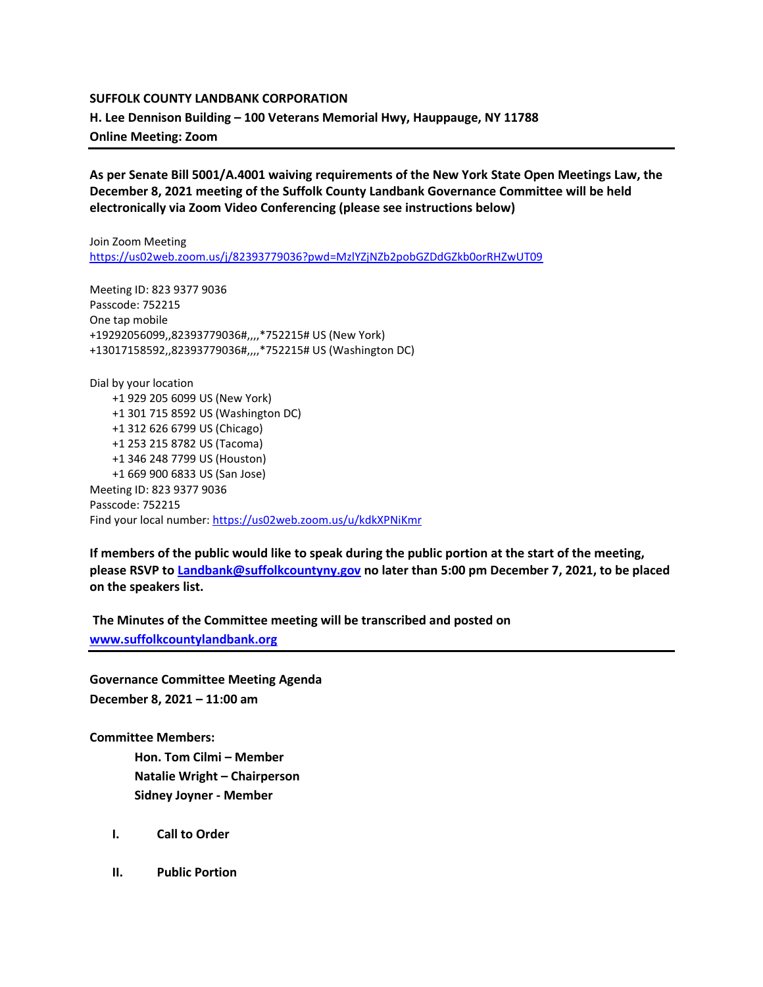## **SUFFOLK COUNTY LANDBANK CORPORATION**

**H. Lee Dennison Building – 100 Veterans Memorial Hwy, Hauppauge, NY 11788**

**Online Meeting: Zoom** 

**As per Senate Bill 5001/A.4001 waiving requirements of the New York State Open Meetings Law, the December 8, 2021 meeting of the Suffolk County Landbank Governance Committee will be held electronically via Zoom Video Conferencing (please see instructions below)**

Join Zoom Meeting <https://us02web.zoom.us/j/82393779036?pwd=MzlYZjNZb2pobGZDdGZkb0orRHZwUT09>

Meeting ID: 823 9377 9036 Passcode: 752215 One tap mobile +19292056099,,82393779036#,,,,\*752215# US (New York) +13017158592,,82393779036#,,,,\*752215# US (Washington DC)

Dial by your location +1 929 205 6099 US (New York) +1 301 715 8592 US (Washington DC) +1 312 626 6799 US (Chicago) +1 253 215 8782 US (Tacoma) +1 346 248 7799 US (Houston) +1 669 900 6833 US (San Jose) Meeting ID: 823 9377 9036 Passcode: 752215 Find your local number[: https://us02web.zoom.us/u/kdkXPNiKmr](https://us02web.zoom.us/u/kdkXPNiKmr)

**If members of the public would like to speak during the public portion at the start of the meeting, please RSVP t[o Landbank@suffolkcountyny.gov](mailto:Landbank@suffolkcountyny.gov) no later than 5:00 pm December 7, 2021, to be placed on the speakers list.** 

**The Minutes of the Committee meeting will be transcribed and posted on [www.suffolkcountylandbank.org](http://www.suffolkcountylandbank.org/)**

**Governance Committee Meeting Agenda December 8, 2021 – 11:00 am**

**Committee Members:**

**Hon. Tom Cilmi – Member Natalie Wright – Chairperson Sidney Joyner - Member**

- **I. Call to Order**
- **II. Public Portion**